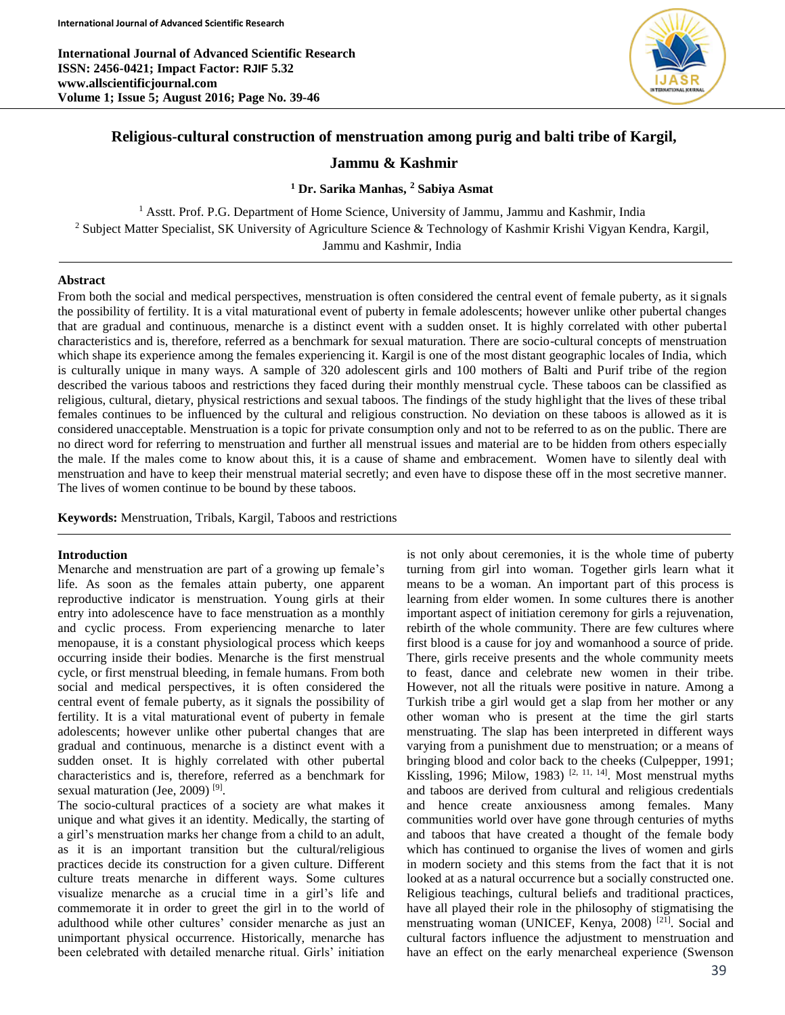**International Journal of Advanced Scientific Research ISSN: 2456-0421; Impact Factor: RJIF 5.32 www.allscientificjournal.com Volume 1; Issue 5; August 2016; Page No. 39-46**



# **Religious-cultural construction of menstruation among purig and balti tribe of Kargil,**

# **Jammu & Kashmir**

# **<sup>1</sup> Dr. Sarika Manhas, <sup>2</sup> Sabiya Asmat**

<sup>1</sup> Asstt. Prof. P.G. Department of Home Science, University of Jammu, Jammu and Kashmir, India <sup>2</sup> Subject Matter Specialist, SK University of Agriculture Science & Technology of Kashmir Krishi Vigyan Kendra, Kargil, Jammu and Kashmir, India

#### **Abstract**

From both the social and medical perspectives, menstruation is often considered the central event of female puberty, as it signals the possibility of fertility. It is a vital maturational event of puberty in female adolescents; however unlike other pubertal changes that are gradual and continuous, menarche is a distinct event with a sudden onset. It is highly correlated with other pubertal characteristics and is, therefore, referred as a benchmark for sexual maturation. There are socio-cultural concepts of menstruation which shape its experience among the females experiencing it. Kargil is one of the most distant geographic locales of India, which is culturally unique in many ways. A sample of 320 adolescent girls and 100 mothers of Balti and Purif tribe of the region described the various taboos and restrictions they faced during their monthly menstrual cycle. These taboos can be classified as religious, cultural, dietary, physical restrictions and sexual taboos. The findings of the study highlight that the lives of these tribal females continues to be influenced by the cultural and religious construction. No deviation on these taboos is allowed as it is considered unacceptable. Menstruation is a topic for private consumption only and not to be referred to as on the public. There are no direct word for referring to menstruation and further all menstrual issues and material are to be hidden from others especially the male. If the males come to know about this, it is a cause of shame and embracement. Women have to silently deal with menstruation and have to keep their menstrual material secretly; and even have to dispose these off in the most secretive manner. The lives of women continue to be bound by these taboos.

**Keywords:** Menstruation, Tribals, Kargil, Taboos and restrictions

#### **Introduction**

Menarche and menstruation are part of a growing up female's life. As soon as the females attain puberty, one apparent reproductive indicator is menstruation. Young girls at their entry into adolescence have to face menstruation as a monthly and cyclic process. From experiencing menarche to later menopause, it is a constant physiological process which keeps occurring inside their bodies. Menarche is the first menstrual cycle, or first menstrual bleeding, in female humans. From both social and medical perspectives, it is often considered the central event of female puberty, as it signals the possibility of fertility. It is a vital maturational event of puberty in female adolescents; however unlike other pubertal changes that are gradual and continuous, menarche is a distinct event with a sudden onset. It is highly correlated with other pubertal characteristics and is, therefore, referred as a benchmark for sexual maturation (Jee, 2009)<sup>[9]</sup>.

The socio-cultural practices of a society are what makes it unique and what gives it an identity. Medically, the starting of a girl's menstruation marks her change from a child to an adult, as it is an important transition but the cultural/religious practices decide its construction for a given culture. Different culture treats menarche in different ways. Some cultures visualize menarche as a crucial time in a girl's life and commemorate it in order to greet the girl in to the world of adulthood while other cultures' consider menarche as just an unimportant physical occurrence. Historically, menarche has been celebrated with detailed menarche ritual. Girls' initiation

is not only about ceremonies, it is the whole time of puberty turning from girl into woman. Together girls learn what it means to be a woman. An important part of this process is learning from elder women. In some cultures there is another important aspect of initiation ceremony for girls a rejuvenation, rebirth of the whole community. There are few cultures where first blood is a cause for joy and womanhood a source of pride. There, girls receive presents and the whole community meets to feast, dance and celebrate new women in their tribe. However, not all the rituals were positive in nature. Among a Turkish tribe a girl would get a slap from her mother or any other woman who is present at the time the girl starts menstruating. The slap has been interpreted in different ways varying from a punishment due to menstruation; or a means of bringing blood and color back to the cheeks (Culpepper, 1991; Kissling, 1996; Milow, 1983)<sup>[2, 11, 14]</sup>. Most menstrual myths and taboos are derived from cultural and religious credentials and hence create anxiousness among females. Many communities world over have gone through centuries of myths and taboos that have created a thought of the female body which has continued to organise the lives of women and girls in modern society and this stems from the fact that it is not looked at as a natural occurrence but a socially constructed one. Religious teachings, cultural beliefs and traditional practices, have all played their role in the philosophy of stigmatising the menstruating woman (UNICEF, Kenya, 2008)<sup>[21]</sup>. Social and cultural factors influence the adjustment to menstruation and have an effect on the early menarcheal experience (Swenson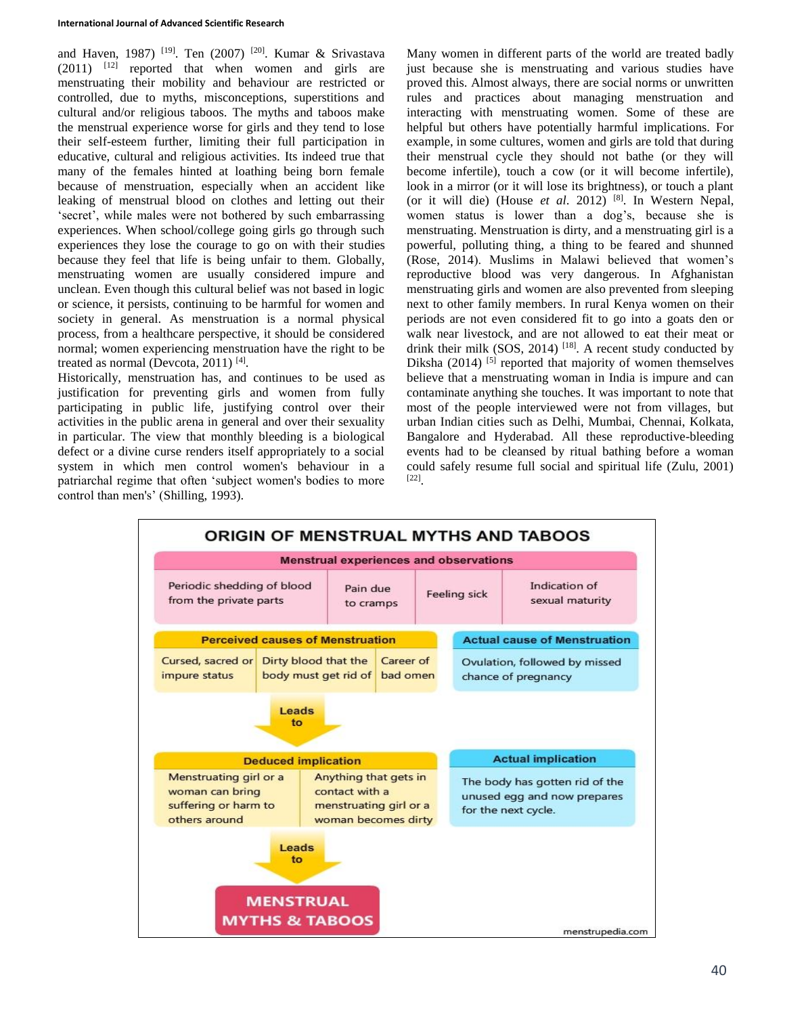#### **International Journal of Advanced Scientific Research**

and Haven, 1987) <sup>[19]</sup>. Ten (2007) <sup>[20]</sup>. Kumar & Srivastava  $(2011)$  <sup>[12]</sup> reported that when women and girls are menstruating their mobility and behaviour are restricted or controlled, due to myths, misconceptions, superstitions and cultural and/or religious taboos. The myths and taboos make the menstrual experience worse for girls and they tend to lose their self-esteem further, limiting their full participation in educative, cultural and religious activities. Its indeed true that many of the females hinted at loathing being born female because of menstruation, especially when an accident like leaking of menstrual blood on clothes and letting out their 'secret', while males were not bothered by such embarrassing experiences. When school/college going girls go through such experiences they lose the courage to go on with their studies because they feel that life is being unfair to them. Globally, menstruating women are usually considered impure and unclean. Even though this cultural belief was not based in logic or science, it persists, continuing to be harmful for women and society in general. As menstruation is a normal physical process, from a healthcare perspective, it should be considered normal; women experiencing menstruation have the right to be treated as normal (Devcota, 2011)<sup>[4]</sup>.

Historically, menstruation has, and continues to be used as justification for preventing girls and women from fully participating in public life, justifying control over their activities in the public arena in general and over their sexuality in particular. The view that monthly bleeding is a biological defect or a divine curse renders itself appropriately to a social system in which men control women's behaviour in a patriarchal regime that often 'subject women's bodies to more control than men's' (Shilling, 1993).

Many women in different parts of the world are treated badly just because she is menstruating and various studies have proved this. Almost always, there are social norms or unwritten rules and practices about managing menstruation and interacting with menstruating women. Some of these are helpful but others have potentially harmful implications. For example, in some cultures, women and girls are told that during their menstrual cycle they should not bathe (or they will become infertile), touch a cow (or it will become infertile), look in a mirror (or it will lose its brightness), or touch a plant (or it will die) (House *et al*. 2012) [8]. In Western Nepal, women status is lower than a dog's, because she is menstruating. Menstruation is dirty, and a menstruating girl is a powerful, polluting thing, a thing to be feared and shunned (Rose, 2014). Muslims in Malawi believed that women's reproductive blood was very dangerous. In Afghanistan menstruating girls and women are also prevented from sleeping next to other family members. In rural Kenya women on their periods are not even considered fit to go into a goats den or walk near livestock, and are not allowed to eat their meat or drink their milk  $(SOS, 2014)$  [18]. A recent study conducted by Diksha  $(2014)$ <sup>[5]</sup> reported that majority of women themselves believe that a menstruating woman in India is impure and can contaminate anything she touches. It was important to note that most of the people interviewed were not from villages, but urban Indian cities such as Delhi, Mumbai, Chennai, Kolkata, Bangalore and Hyderabad. All these reproductive-bleeding events had to be cleansed by ritual bathing before a woman could safely resume full social and spiritual life (Zulu, 2001) [22] .

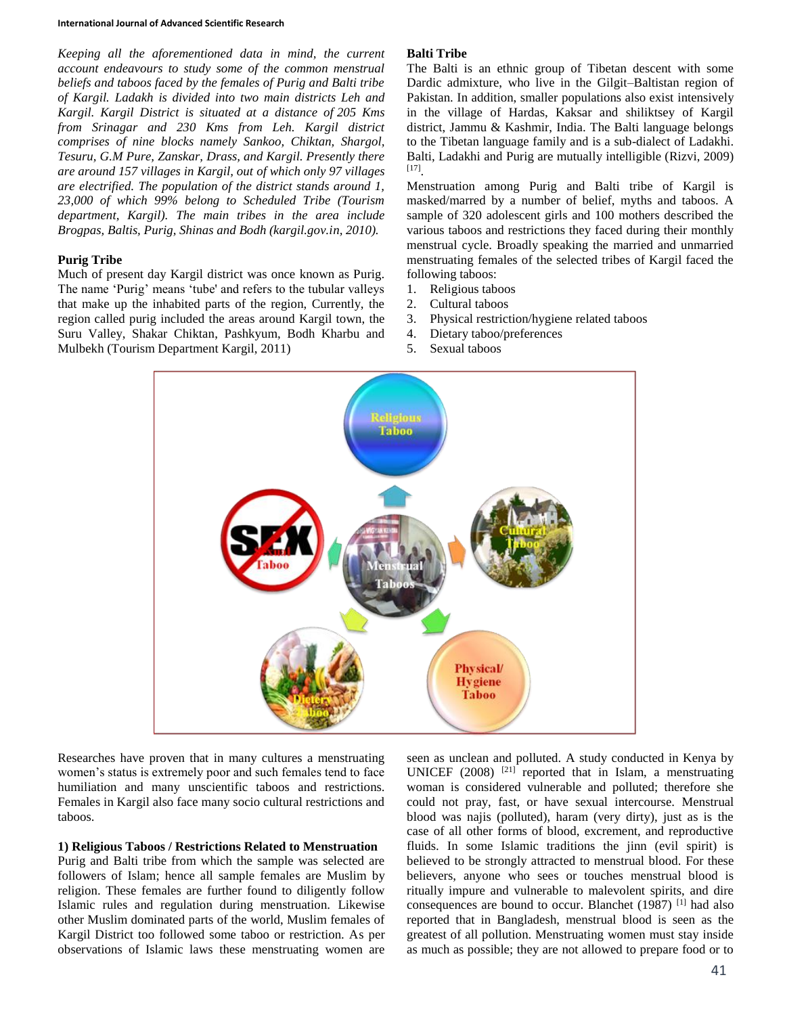#### **International Journal of Advanced Scientific Research**

*Keeping all the aforementioned data in mind, the current account endeavours to study some of the common menstrual beliefs and taboos faced by the females of Purig and Balti tribe of Kargil. Ladakh is divided into two main districts Leh and Kargil. Kargil District is situated at a distance of 205 Kms from Srinagar and 230 Kms from Leh. Kargil district comprises of nine blocks namely Sankoo, Chiktan, Shargol, Tesuru, G.M Pure, Zanskar, Drass, and Kargil. Presently there are around 157 villages in Kargil, out of which only 97 villages are electrified. The population of the district stands around 1, 23,000 of which 99% belong to Scheduled Tribe (Tourism department, Kargil). The main tribes in the area include Brogpas, Baltis, Purig, Shinas and Bodh (kargil.gov.in, 2010).* 

### **Purig Tribe**

Much of present day Kargil district was once known as Purig. The name 'Purig' means 'tube' and refers to the tubular valleys that make up the inhabited parts of the region, Currently, the region called purig included the areas around Kargil town, the Suru Valley, Shakar Chiktan, Pashkyum, Bodh Kharbu and Mulbekh (Tourism Department Kargil, 2011)

#### **Balti Tribe**

The Balti is an ethnic group of Tibetan descent with some Dardic admixture, who live in the Gilgit–Baltistan region of Pakistan. In addition, smaller populations also exist intensively in the village of Hardas, Kaksar and shiliktsey of Kargil district, Jammu & Kashmir, India. The Balti language belongs to the Tibetan language family and is a sub-dialect of Ladakhi. Balti, Ladakhi and Purig are mutually intelligible (Rizvi, 2009) [17] .

Menstruation among Purig and Balti tribe of Kargil is masked/marred by a number of belief, myths and taboos. A sample of 320 adolescent girls and 100 mothers described the various taboos and restrictions they faced during their monthly menstrual cycle. Broadly speaking the married and unmarried menstruating females of the selected tribes of Kargil faced the following taboos:

- 1. Religious taboos
- 2. Cultural taboos
- 3. Physical restriction/hygiene related taboos
- 4. Dietary taboo/preferences
- 5. Sexual taboos



Researches have proven that in many cultures a menstruating women's status is extremely poor and such females tend to face humiliation and many unscientific taboos and restrictions. Females in Kargil also face many socio cultural restrictions and taboos.

## **1) Religious Taboos / Restrictions Related to Menstruation**

Purig and Balti tribe from which the sample was selected are followers of Islam; hence all sample females are Muslim by religion. These females are further found to diligently follow Islamic rules and regulation during menstruation. Likewise other Muslim dominated parts of the world, Muslim females of Kargil District too followed some taboo or restriction. As per observations of Islamic laws these menstruating women are

seen as unclean and polluted. A study conducted in Kenya by UNICEF  $(2008)$ <sup>[21]</sup> reported that in Islam, a menstruating woman is considered vulnerable and polluted; therefore she could not pray, fast, or have sexual intercourse. Menstrual blood was najis (polluted), haram (very dirty), just as is the case of all other forms of blood, excrement, and reproductive fluids. In some Islamic traditions the jinn (evil spirit) is believed to be strongly attracted to menstrual blood. For these believers, anyone who sees or touches menstrual blood is ritually impure and vulnerable to malevolent spirits, and dire consequences are bound to occur. Blanchet (1987) [1] had also reported that in Bangladesh, menstrual blood is seen as the greatest of all pollution. Menstruating women must stay inside as much as possible; they are not allowed to prepare food or to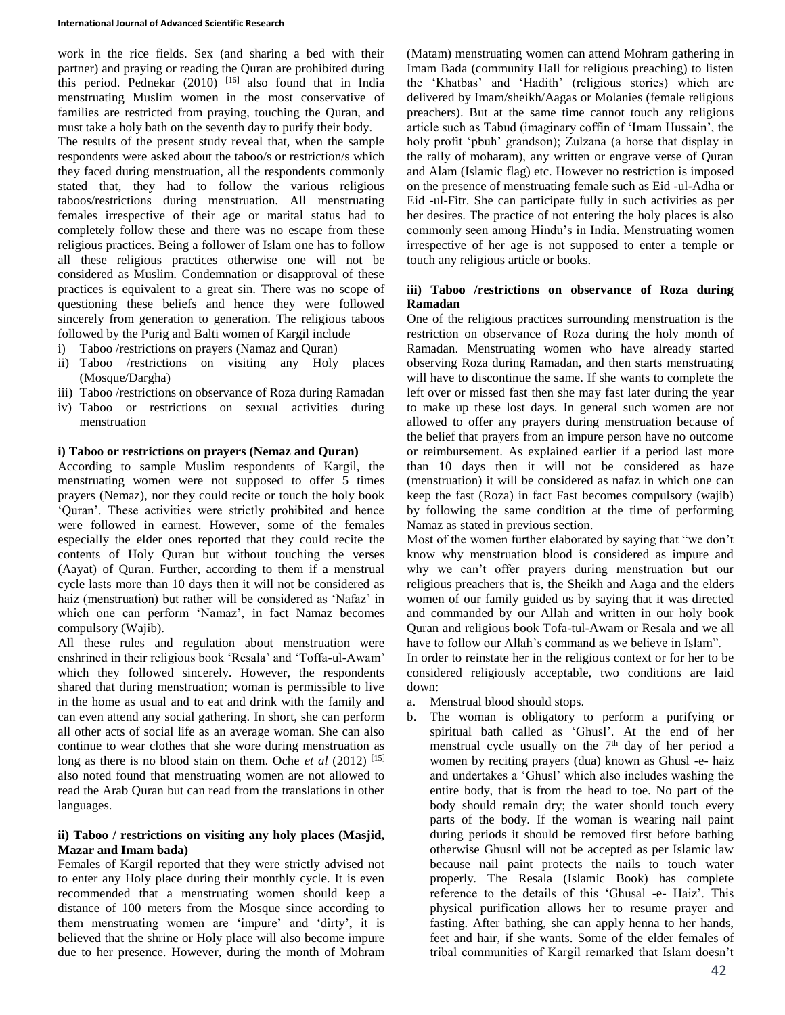work in the rice fields. Sex (and sharing a bed with their partner) and praying or reading the Quran are prohibited during this period. Pednekar (2010) [16] also found that in India menstruating Muslim women in the most conservative of families are restricted from praying, touching the Quran, and must take a holy bath on the seventh day to purify their body.

The results of the present study reveal that, when the sample respondents were asked about the taboo/s or restriction/s which they faced during menstruation, all the respondents commonly stated that, they had to follow the various religious taboos/restrictions during menstruation. All menstruating females irrespective of their age or marital status had to completely follow these and there was no escape from these religious practices. Being a follower of Islam one has to follow all these religious practices otherwise one will not be considered as Muslim. Condemnation or disapproval of these practices is equivalent to a great sin. There was no scope of questioning these beliefs and hence they were followed sincerely from generation to generation. The religious taboos followed by the Purig and Balti women of Kargil include

- i) Taboo /restrictions on prayers (Namaz and Quran)
- ii) Taboo /restrictions on visiting any Holy places (Mosque/Dargha)
- iii) Taboo /restrictions on observance of Roza during Ramadan
- iv) Taboo or restrictions on sexual activities during menstruation

### **i) Taboo or restrictions on prayers (Nemaz and Quran)**

According to sample Muslim respondents of Kargil, the menstruating women were not supposed to offer 5 times prayers (Nemaz), nor they could recite or touch the holy book 'Quran'. These activities were strictly prohibited and hence were followed in earnest. However, some of the females especially the elder ones reported that they could recite the contents of Holy Quran but without touching the verses (Aayat) of Quran. Further, according to them if a menstrual cycle lasts more than 10 days then it will not be considered as haiz (menstruation) but rather will be considered as 'Nafaz' in which one can perform 'Namaz', in fact Namaz becomes compulsory (Wajib).

All these rules and regulation about menstruation were enshrined in their religious book 'Resala' and 'Toffa-ul-Awam' which they followed sincerely. However, the respondents shared that during menstruation; woman is permissible to live in the home as usual and to eat and drink with the family and can even attend any social gathering. In short, she can perform all other acts of social life as an average woman. She can also continue to wear clothes that she wore during menstruation as long as there is no blood stain on them. Oche *et al* (2012)<sup>[15]</sup> also noted found that menstruating women are not allowed to read the Arab Quran but can read from the translations in other languages.

## **ii) Taboo / restrictions on visiting any holy places (Masjid, Mazar and Imam bada)**

Females of Kargil reported that they were strictly advised not to enter any Holy place during their monthly cycle. It is even recommended that a menstruating women should keep a distance of 100 meters from the Mosque since according to them menstruating women are 'impure' and 'dirty', it is believed that the shrine or Holy place will also become impure due to her presence. However, during the month of Mohram

(Matam) menstruating women can attend Mohram gathering in Imam Bada (community Hall for religious preaching) to listen the 'Khatbas' and 'Hadith' (religious stories) which are delivered by Imam/sheikh/Aagas or Molanies (female religious preachers). But at the same time cannot touch any religious article such as Tabud (imaginary coffin of 'Imam Hussain', the holy profit 'pbuh' grandson); Zulzana (a horse that display in the rally of moharam), any written or engrave verse of Quran and Alam (Islamic flag) etc. However no restriction is imposed on the presence of menstruating female such as Eid -ul-Adha or Eid -ul-Fitr. She can participate fully in such activities as per her desires. The practice of not entering the holy places is also commonly seen among Hindu's in India. Menstruating women irrespective of her age is not supposed to enter a temple or touch any religious article or books.

## **iii) Taboo /restrictions on observance of Roza during Ramadan**

One of the religious practices surrounding menstruation is the restriction on observance of Roza during the holy month of Ramadan. Menstruating women who have already started observing Roza during Ramadan, and then starts menstruating will have to discontinue the same. If she wants to complete the left over or missed fast then she may fast later during the year to make up these lost days. In general such women are not allowed to offer any prayers during menstruation because of the belief that prayers from an impure person have no outcome or reimbursement. As explained earlier if a period last more than 10 days then it will not be considered as haze (menstruation) it will be considered as nafaz in which one can keep the fast (Roza) in fact Fast becomes compulsory (wajib) by following the same condition at the time of performing Namaz as stated in previous section.

Most of the women further elaborated by saying that "we don't know why menstruation blood is considered as impure and why we can't offer prayers during menstruation but our religious preachers that is, the Sheikh and Aaga and the elders women of our family guided us by saying that it was directed and commanded by our Allah and written in our holy book Quran and religious book Tofa-tul-Awam or Resala and we all have to follow our Allah's command as we believe in Islam".

In order to reinstate her in the religious context or for her to be considered religiously acceptable, two conditions are laid down:

- a. Menstrual blood should stops.
- b. The woman is obligatory to perform a purifying or spiritual bath called as 'Ghusl'. At the end of her menstrual cycle usually on the 7<sup>th</sup> day of her period a women by reciting prayers (dua) known as Ghusl -e- haiz and undertakes a 'Ghusl' which also includes washing the entire body, that is from the head to toe. No part of the body should remain dry; the water should touch every parts of the body. If the woman is wearing nail paint during periods it should be removed first before bathing otherwise Ghusul will not be accepted as per Islamic law because nail paint protects the nails to touch water properly. The Resala (Islamic Book) has complete reference to the details of this 'Ghusal -e- Haiz'. This physical purification allows her to resume prayer and fasting. After bathing, she can apply henna to her hands, feet and hair, if she wants. Some of the elder females of tribal communities of Kargil remarked that Islam doesn't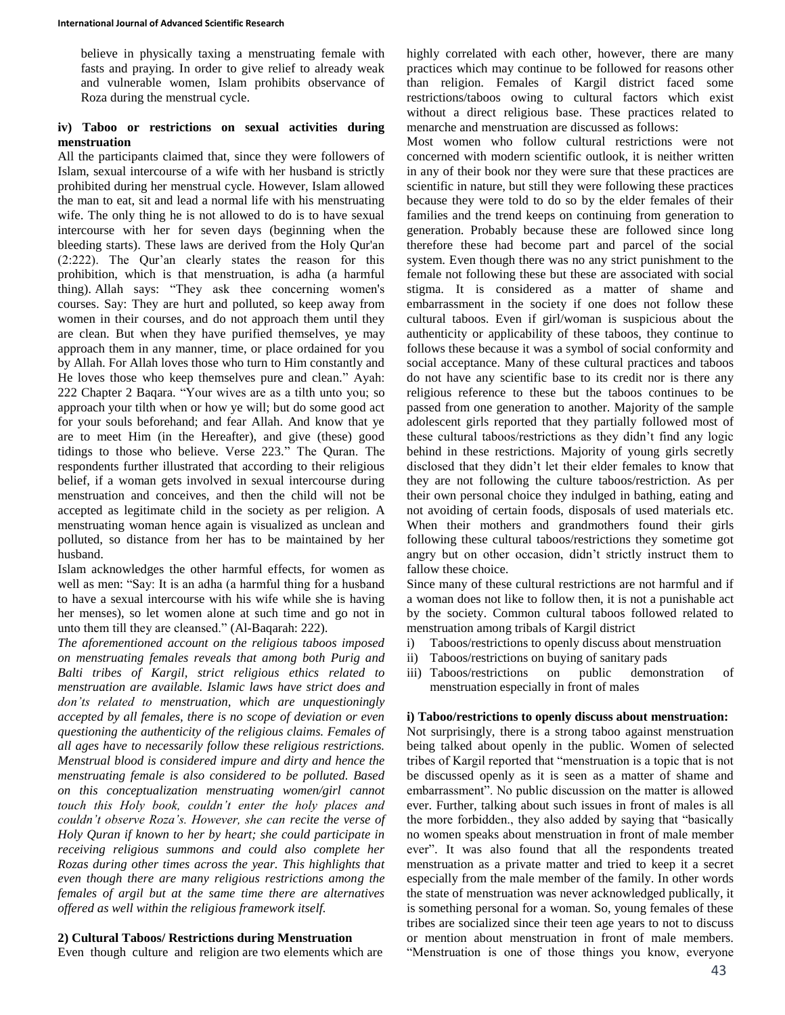believe in physically taxing a menstruating female with fasts and praying. In order to give relief to already weak and vulnerable women, Islam prohibits observance of Roza during the menstrual cycle.

## **iv) Taboo or restrictions on sexual activities during menstruation**

All the participants claimed that, since they were followers of Islam, sexual intercourse of a wife with her husband is strictly prohibited during her menstrual cycle. However, Islam allowed the man to eat, sit and lead a normal life with his menstruating wife. The only thing he is not allowed to do is to have sexual intercourse with her for seven days (beginning when the bleeding starts). These laws are derived from the Holy Qur'an (2:222). The Qur'an clearly states the reason for this prohibition, which is that menstruation, is adha (a harmful thing). Allah says: "They ask thee concerning women's courses. Say: They are hurt and polluted, so keep away from women in their courses, and do not approach them until they are clean. But when they have purified themselves, ye may approach them in any manner, time, or place ordained for you by Allah. For Allah loves those who turn to Him constantly and He loves those who keep themselves pure and clean." Ayah: 222 Chapter 2 Baqara. "Your wives are as a tilth unto you; so approach your tilth when or how ye will; but do some good act for your souls beforehand; and fear Allah. And know that ye are to meet Him (in the Hereafter), and give (these) good tidings to those who believe. Verse 223." The Quran. The respondents further illustrated that according to their religious belief, if a woman gets involved in sexual intercourse during menstruation and conceives, and then the child will not be accepted as legitimate child in the society as per religion. A menstruating woman hence again is visualized as unclean and polluted, so distance from her has to be maintained by her husband.

Islam acknowledges the other harmful effects, for women as well as men: "Say: It is an adha (a harmful thing for a husband to have a sexual intercourse with his wife while she is having her menses), so let women alone at such time and go not in unto them till they are cleansed." (Al-Baqarah: 222).

*The aforementioned account on the religious taboos imposed on menstruating females reveals that among both Purig and Balti tribes of Kargil, strict religious ethics related to menstruation are available. Islamic laws have strict does and don'ts related to menstruation, which are unquestioningly accepted by all females, there is no scope of deviation or even questioning the authenticity of the religious claims. Females of all ages have to necessarily follow these religious restrictions. Menstrual blood is considered impure and dirty and hence the menstruating female is also considered to be polluted. Based on this conceptualization menstruating women/girl cannot touch this Holy book, couldn't enter the holy places and couldn't observe Roza's. However, she can recite the verse of Holy Quran if known to her by heart; she could participate in receiving religious summons and could also complete her Rozas during other times across the year. This highlights that even though there are many religious restrictions among the females of argil but at the same time there are alternatives offered as well within the religious framework itself.*

## **2) Cultural Taboos/ Restrictions during Menstruation**

Even though culture and religion are two elements which are

highly correlated with each other, however, there are many practices which may continue to be followed for reasons other than religion. Females of Kargil district faced some restrictions/taboos owing to cultural factors which exist without a direct religious base. These practices related to menarche and menstruation are discussed as follows:

Most women who follow cultural restrictions were not concerned with modern scientific outlook, it is neither written in any of their book nor they were sure that these practices are scientific in nature, but still they were following these practices because they were told to do so by the elder females of their families and the trend keeps on continuing from generation to generation. Probably because these are followed since long therefore these had become part and parcel of the social system. Even though there was no any strict punishment to the female not following these but these are associated with social stigma. It is considered as a matter of shame and embarrassment in the society if one does not follow these cultural taboos. Even if girl/woman is suspicious about the authenticity or applicability of these taboos, they continue to follows these because it was a symbol of social conformity and social acceptance. Many of these cultural practices and taboos do not have any scientific base to its credit nor is there any religious reference to these but the taboos continues to be passed from one generation to another. Majority of the sample adolescent girls reported that they partially followed most of these cultural taboos/restrictions as they didn't find any logic behind in these restrictions. Majority of young girls secretly disclosed that they didn't let their elder females to know that they are not following the culture taboos/restriction. As per their own personal choice they indulged in bathing, eating and not avoiding of certain foods, disposals of used materials etc. When their mothers and grandmothers found their girls following these cultural taboos/restrictions they sometime got angry but on other occasion, didn't strictly instruct them to fallow these choice.

Since many of these cultural restrictions are not harmful and if a woman does not like to follow then, it is not a punishable act by the society. Common cultural taboos followed related to menstruation among tribals of Kargil district

- i) Taboos/restrictions to openly discuss about menstruation
- ii) Taboos/restrictions on buying of sanitary pads
- iii) Taboos/restrictions on public demonstration of menstruation especially in front of males

#### **i) Taboo/restrictions to openly discuss about menstruation:**

Not surprisingly, there is a strong taboo against menstruation being talked about openly in the public. Women of selected tribes of Kargil reported that "menstruation is a topic that is not be discussed openly as it is seen as a matter of shame and embarrassment". No public discussion on the matter is allowed ever. Further, talking about such issues in front of males is all the more forbidden., they also added by saying that "basically no women speaks about menstruation in front of male member ever". It was also found that all the respondents treated menstruation as a private matter and tried to keep it a secret especially from the male member of the family. In other words the state of menstruation was never acknowledged publically, it is something personal for a woman. So, young females of these tribes are socialized since their teen age years to not to discuss or mention about menstruation in front of male members. "Menstruation is one of those things you know, everyone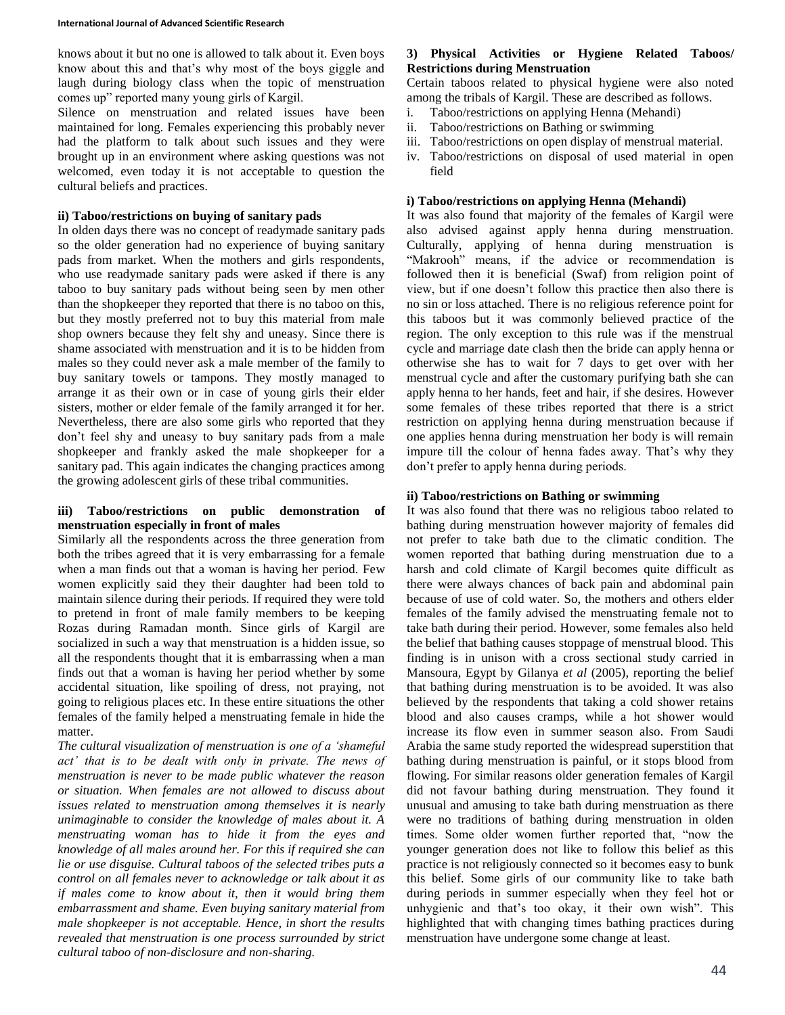knows about it but no one is allowed to talk about it. Even boys know about this and that's why most of the boys giggle and laugh during biology class when the topic of menstruation comes up" reported many young girls of Kargil.

Silence on menstruation and related issues have been maintained for long. Females experiencing this probably never had the platform to talk about such issues and they were brought up in an environment where asking questions was not welcomed, even today it is not acceptable to question the cultural beliefs and practices.

#### **ii) Taboo/restrictions on buying of sanitary pads**

In olden days there was no concept of readymade sanitary pads so the older generation had no experience of buying sanitary pads from market. When the mothers and girls respondents, who use readymade sanitary pads were asked if there is any taboo to buy sanitary pads without being seen by men other than the shopkeeper they reported that there is no taboo on this, but they mostly preferred not to buy this material from male shop owners because they felt shy and uneasy. Since there is shame associated with menstruation and it is to be hidden from males so they could never ask a male member of the family to buy sanitary towels or tampons. They mostly managed to arrange it as their own or in case of young girls their elder sisters, mother or elder female of the family arranged it for her. Nevertheless, there are also some girls who reported that they don't feel shy and uneasy to buy sanitary pads from a male shopkeeper and frankly asked the male shopkeeper for a sanitary pad. This again indicates the changing practices among the growing adolescent girls of these tribal communities.

## **iii) Taboo/restrictions on public demonstration of menstruation especially in front of males**

Similarly all the respondents across the three generation from both the tribes agreed that it is very embarrassing for a female when a man finds out that a woman is having her period. Few women explicitly said they their daughter had been told to maintain silence during their periods. If required they were told to pretend in front of male family members to be keeping Rozas during Ramadan month. Since girls of Kargil are socialized in such a way that menstruation is a hidden issue, so all the respondents thought that it is embarrassing when a man finds out that a woman is having her period whether by some accidental situation, like spoiling of dress, not praying, not going to religious places etc. In these entire situations the other females of the family helped a menstruating female in hide the matter.

*The cultural visualization of menstruation is one of a 'shameful act' that is to be dealt with only in private. The news of menstruation is never to be made public whatever the reason or situation. When females are not allowed to discuss about issues related to menstruation among themselves it is nearly unimaginable to consider the knowledge of males about it. A menstruating woman has to hide it from the eyes and knowledge of all males around her. For this if required she can lie or use disguise. Cultural taboos of the selected tribes puts a control on all females never to acknowledge or talk about it as if males come to know about it, then it would bring them embarrassment and shame. Even buying sanitary material from male shopkeeper is not acceptable. Hence, in short the results revealed that menstruation is one process surrounded by strict cultural taboo of non-disclosure and non-sharing.*

# **3) Physical Activities or Hygiene Related Taboos/ Restrictions during Menstruation**

Certain taboos related to physical hygiene were also noted among the tribals of Kargil. These are described as follows.

- i. Taboo/restrictions on applying Henna (Mehandi)
- ii. Taboo/restrictions on Bathing or swimming
- iii. Taboo/restrictions on open display of menstrual material.
- iv. Taboo/restrictions on disposal of used material in open field

#### **i) Taboo/restrictions on applying Henna (Mehandi)**

It was also found that majority of the females of Kargil were also advised against apply henna during menstruation. Culturally, applying of henna during menstruation is "Makrooh" means, if the advice or recommendation is followed then it is beneficial (Swaf) from religion point of view, but if one doesn't follow this practice then also there is no sin or loss attached. There is no religious reference point for this taboos but it was commonly believed practice of the region. The only exception to this rule was if the menstrual cycle and marriage date clash then the bride can apply henna or otherwise she has to wait for 7 days to get over with her menstrual cycle and after the customary purifying bath she can apply henna to her hands, feet and hair, if she desires. However some females of these tribes reported that there is a strict restriction on applying henna during menstruation because if one applies henna during menstruation her body is will remain impure till the colour of henna fades away. That's why they don't prefer to apply henna during periods.

#### **ii) Taboo/restrictions on Bathing or swimming**

It was also found that there was no religious taboo related to bathing during menstruation however majority of females did not prefer to take bath due to the climatic condition. The women reported that bathing during menstruation due to a harsh and cold climate of Kargil becomes quite difficult as there were always chances of back pain and abdominal pain because of use of cold water. So, the mothers and others elder females of the family advised the menstruating female not to take bath during their period. However, some females also held the belief that bathing causes stoppage of menstrual blood. This finding is in unison with a cross sectional study carried in Mansoura, Egypt by Gilanya *et al* (2005), reporting the belief that bathing during menstruation is to be avoided. It was also believed by the respondents that taking a cold shower retains blood and also causes cramps, while a hot shower would increase its flow even in summer season also. From Saudi Arabia the same study reported the widespread superstition that bathing during menstruation is painful, or it stops blood from flowing. For similar reasons older generation females of Kargil did not favour bathing during menstruation. They found it unusual and amusing to take bath during menstruation as there were no traditions of bathing during menstruation in olden times. Some older women further reported that, "now the younger generation does not like to follow this belief as this practice is not religiously connected so it becomes easy to bunk this belief. Some girls of our community like to take bath during periods in summer especially when they feel hot or unhygienic and that's too okay, it their own wish". This highlighted that with changing times bathing practices during menstruation have undergone some change at least.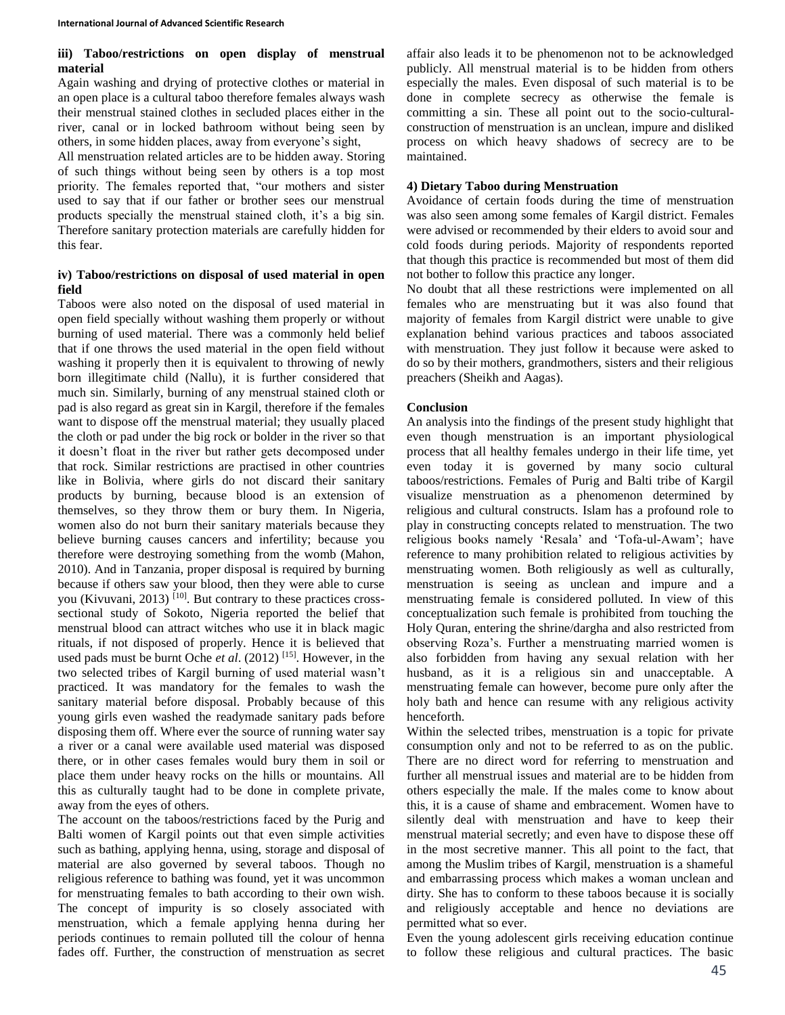## **iii) Taboo/restrictions on open display of menstrual material**

Again washing and drying of protective clothes or material in an open place is a cultural taboo therefore females always wash their menstrual stained clothes in secluded places either in the river, canal or in locked bathroom without being seen by others, in some hidden places, away from everyone's sight,

All menstruation related articles are to be hidden away. Storing of such things without being seen by others is a top most priority. The females reported that, "our mothers and sister used to say that if our father or brother sees our menstrual products specially the menstrual stained cloth, it's a big sin. Therefore sanitary protection materials are carefully hidden for this fear.

# **iv) Taboo/restrictions on disposal of used material in open field**

Taboos were also noted on the disposal of used material in open field specially without washing them properly or without burning of used material. There was a commonly held belief that if one throws the used material in the open field without washing it properly then it is equivalent to throwing of newly born illegitimate child (Nallu), it is further considered that much sin. Similarly, burning of any menstrual stained cloth or pad is also regard as great sin in Kargil, therefore if the females want to dispose off the menstrual material; they usually placed the cloth or pad under the big rock or bolder in the river so that it doesn't float in the river but rather gets decomposed under that rock. Similar restrictions are practised in other countries like in Bolivia, where girls do not discard their sanitary products by burning, because blood is an extension of themselves, so they throw them or bury them. In Nigeria, women also do not burn their sanitary materials because they believe burning causes cancers and infertility; because you therefore were destroying something from the womb (Mahon, 2010). And in Tanzania, proper disposal is required by burning because if others saw your blood, then they were able to curse you (Kivuvani, 2013) <sup>[10]</sup>. But contrary to these practices crosssectional study of Sokoto, Nigeria reported the belief that menstrual blood can attract witches who use it in black magic rituals, if not disposed of properly. Hence it is believed that used pads must be burnt Oche *et al*. (2012) [15]. However, in the two selected tribes of Kargil burning of used material wasn't practiced. It was mandatory for the females to wash the sanitary material before disposal. Probably because of this young girls even washed the readymade sanitary pads before disposing them off. Where ever the source of running water say a river or a canal were available used material was disposed there, or in other cases females would bury them in soil or place them under heavy rocks on the hills or mountains. All this as culturally taught had to be done in complete private, away from the eyes of others.

The account on the taboos/restrictions faced by the Purig and Balti women of Kargil points out that even simple activities such as bathing, applying henna, using, storage and disposal of material are also governed by several taboos. Though no religious reference to bathing was found, yet it was uncommon for menstruating females to bath according to their own wish. The concept of impurity is so closely associated with menstruation, which a female applying henna during her periods continues to remain polluted till the colour of henna fades off. Further, the construction of menstruation as secret

affair also leads it to be phenomenon not to be acknowledged publicly. All menstrual material is to be hidden from others especially the males. Even disposal of such material is to be done in complete secrecy as otherwise the female is committing a sin. These all point out to the socio-culturalconstruction of menstruation is an unclean, impure and disliked process on which heavy shadows of secrecy are to be maintained.

## **4) Dietary Taboo during Menstruation**

Avoidance of certain foods during the time of menstruation was also seen among some females of Kargil district. Females were advised or recommended by their elders to avoid sour and cold foods during periods. Majority of respondents reported that though this practice is recommended but most of them did not bother to follow this practice any longer.

No doubt that all these restrictions were implemented on all females who are menstruating but it was also found that majority of females from Kargil district were unable to give explanation behind various practices and taboos associated with menstruation. They just follow it because were asked to do so by their mothers, grandmothers, sisters and their religious preachers (Sheikh and Aagas).

## **Conclusion**

An analysis into the findings of the present study highlight that even though menstruation is an important physiological process that all healthy females undergo in their life time, yet even today it is governed by many socio cultural taboos/restrictions. Females of Purig and Balti tribe of Kargil visualize menstruation as a phenomenon determined by religious and cultural constructs. Islam has a profound role to play in constructing concepts related to menstruation. The two religious books namely 'Resala' and 'Tofa-ul-Awam'; have reference to many prohibition related to religious activities by menstruating women. Both religiously as well as culturally, menstruation is seeing as unclean and impure and a menstruating female is considered polluted. In view of this conceptualization such female is prohibited from touching the Holy Quran, entering the shrine/dargha and also restricted from observing Roza's. Further a menstruating married women is also forbidden from having any sexual relation with her husband, as it is a religious sin and unacceptable. A menstruating female can however, become pure only after the holy bath and hence can resume with any religious activity henceforth.

Within the selected tribes, menstruation is a topic for private consumption only and not to be referred to as on the public. There are no direct word for referring to menstruation and further all menstrual issues and material are to be hidden from others especially the male. If the males come to know about this, it is a cause of shame and embracement. Women have to silently deal with menstruation and have to keep their menstrual material secretly; and even have to dispose these off in the most secretive manner. This all point to the fact, that among the Muslim tribes of Kargil, menstruation is a shameful and embarrassing process which makes a woman unclean and dirty. She has to conform to these taboos because it is socially and religiously acceptable and hence no deviations are permitted what so ever.

Even the young adolescent girls receiving education continue to follow these religious and cultural practices. The basic